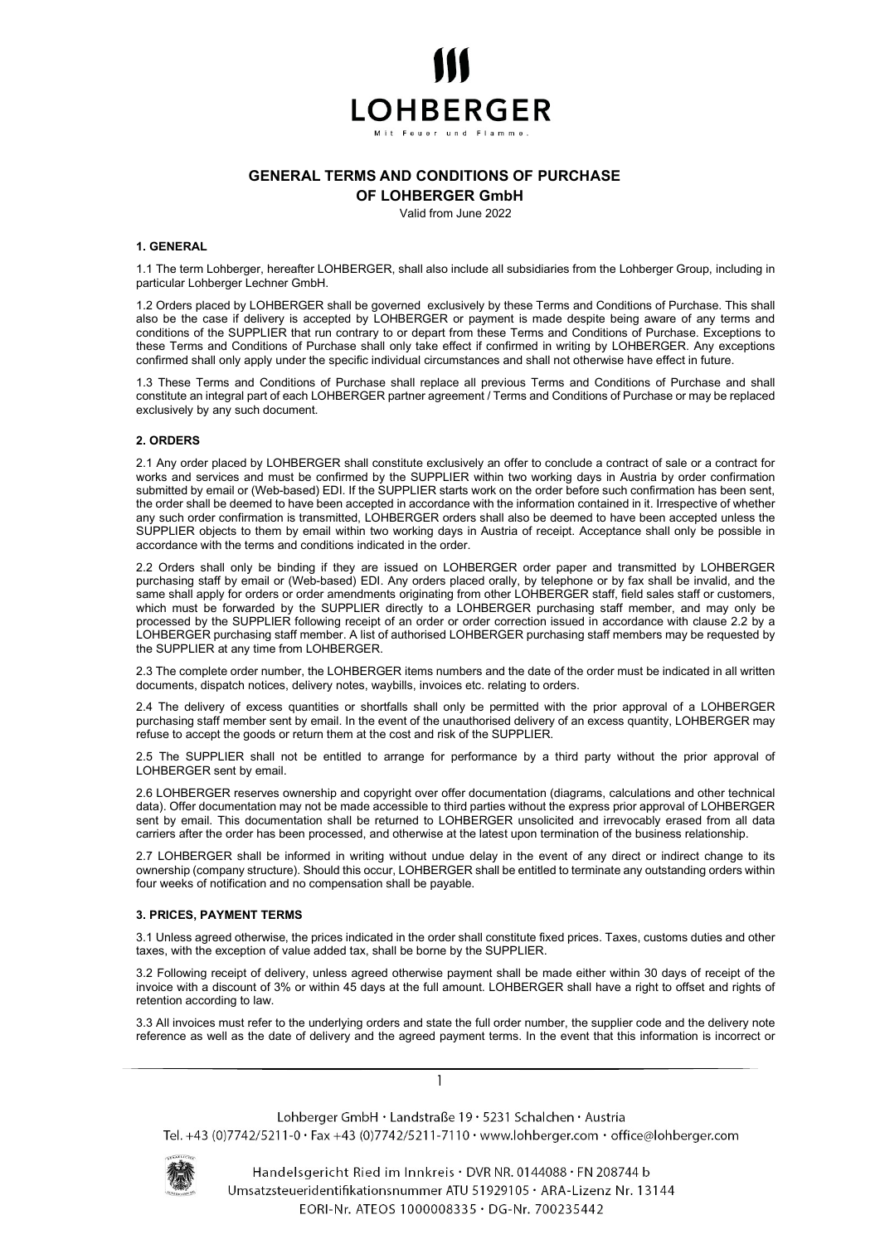

# GENERAL TERMS AND CONDITIONS OF PURCHASE

OF LOHBERGER GmbH

Valid from June 2022

#### 1. GENERAL

1.1 The term Lohberger, hereafter LOHBERGER, shall also include all subsidiaries from the Lohberger Group, including in particular Lohberger Lechner GmbH.

1.2 Orders placed by LOHBERGER shall be governed exclusively by these Terms and Conditions of Purchase. This shall also be the case if delivery is accepted by LOHBERGER or payment is made despite being aware of any terms and conditions of the SUPPLIER that run contrary to or depart from these Terms and Conditions of Purchase. Exceptions to these Terms and Conditions of Purchase shall only take effect if confirmed in writing by LOHBERGER. Any exceptions confirmed shall only apply under the specific individual circumstances and shall not otherwise have effect in future.

1.3 These Terms and Conditions of Purchase shall replace all previous Terms and Conditions of Purchase and shall constitute an integral part of each LOHBERGER partner agreement / Terms and Conditions of Purchase or may be replaced exclusively by any such document.

# 2. ORDERS

2.1 Any order placed by LOHBERGER shall constitute exclusively an offer to conclude a contract of sale or a contract for works and services and must be confirmed by the SUPPLIER within two working days in Austria by order confirmation submitted by email or (Web-based) EDI. If the SUPPLIER starts work on the order before such confirmation has been sent, the order shall be deemed to have been accepted in accordance with the information contained in it. Irrespective of whether any such order confirmation is transmitted, LOHBERGER orders shall also be deemed to have been accepted unless the SUPPLIER objects to them by email within two working days in Austria of receipt. Acceptance shall only be possible in accordance with the terms and conditions indicated in the order.

2.2 Orders shall only be binding if they are issued on LOHBERGER order paper and transmitted by LOHBERGER purchasing staff by email or (Web-based) EDI. Any orders placed orally, by telephone or by fax shall be invalid, and the same shall apply for orders or order amendments originating from other LOHBERGER staff, field sales staff or customers, which must be forwarded by the SUPPLIER directly to a LOHBERGER purchasing staff member, and may only be processed by the SUPPLIER following receipt of an order or order correction issued in accordance with clause 2.2 by a LOHBERGER purchasing staff member. A list of authorised LOHBERGER purchasing staff members may be requested by the SUPPLIER at any time from LOHBERGER.

2.3 The complete order number, the LOHBERGER items numbers and the date of the order must be indicated in all written documents, dispatch notices, delivery notes, waybills, invoices etc. relating to orders.

2.4 The delivery of excess quantities or shortfalls shall only be permitted with the prior approval of a LOHBERGER purchasing staff member sent by email. In the event of the unauthorised delivery of an excess quantity, LOHBERGER may refuse to accept the goods or return them at the cost and risk of the SUPPLIER.

2.5 The SUPPLIER shall not be entitled to arrange for performance by a third party without the prior approval of LOHBERGER sent by email.

2.6 LOHBERGER reserves ownership and copyright over offer documentation (diagrams, calculations and other technical data). Offer documentation may not be made accessible to third parties without the express prior approval of LOHBERGER sent by email. This documentation shall be returned to LOHBERGER unsolicited and irrevocably erased from all data carriers after the order has been processed, and otherwise at the latest upon termination of the business relationship.

2.7 LOHBERGER shall be informed in writing without undue delay in the event of any direct or indirect change to its ownership (company structure). Should this occur, LOHBERGER shall be entitled to terminate any outstanding orders within four weeks of notification and no compensation shall be payable.

#### 3. PRICES, PAYMENT TERMS

3.1 Unless agreed otherwise, the prices indicated in the order shall constitute fixed prices. Taxes, customs duties and other taxes, with the exception of value added tax, shall be borne by the SUPPLIER.

3.2 Following receipt of delivery, unless agreed otherwise payment shall be made either within 30 days of receipt of the invoice with a discount of 3% or within 45 days at the full amount. LOHBERGER shall have a right to offset and rights of retention according to law.

3.3 All invoices must refer to the underlying orders and state the full order number, the supplier code and the delivery note reference as well as the date of delivery and the agreed payment terms. In the event that this information is incorrect or

Lohberger GmbH · Landstraße 19 · 5231 Schalchen · Austria Tel. +43 (0)7742/5211-0 · Fax +43 (0)7742/5211-7110 · www.lohberger.com · office@lohberger.com



Handelsgericht Ried im Innkreis · DVR NR. 0144088 · FN 208744 b Umsatzsteueridentifikationsnummer ATU 51929105 · ARA-Lizenz Nr. 13144 EORI-Nr. ATEOS 1000008335 · DG-Nr. 700235442

1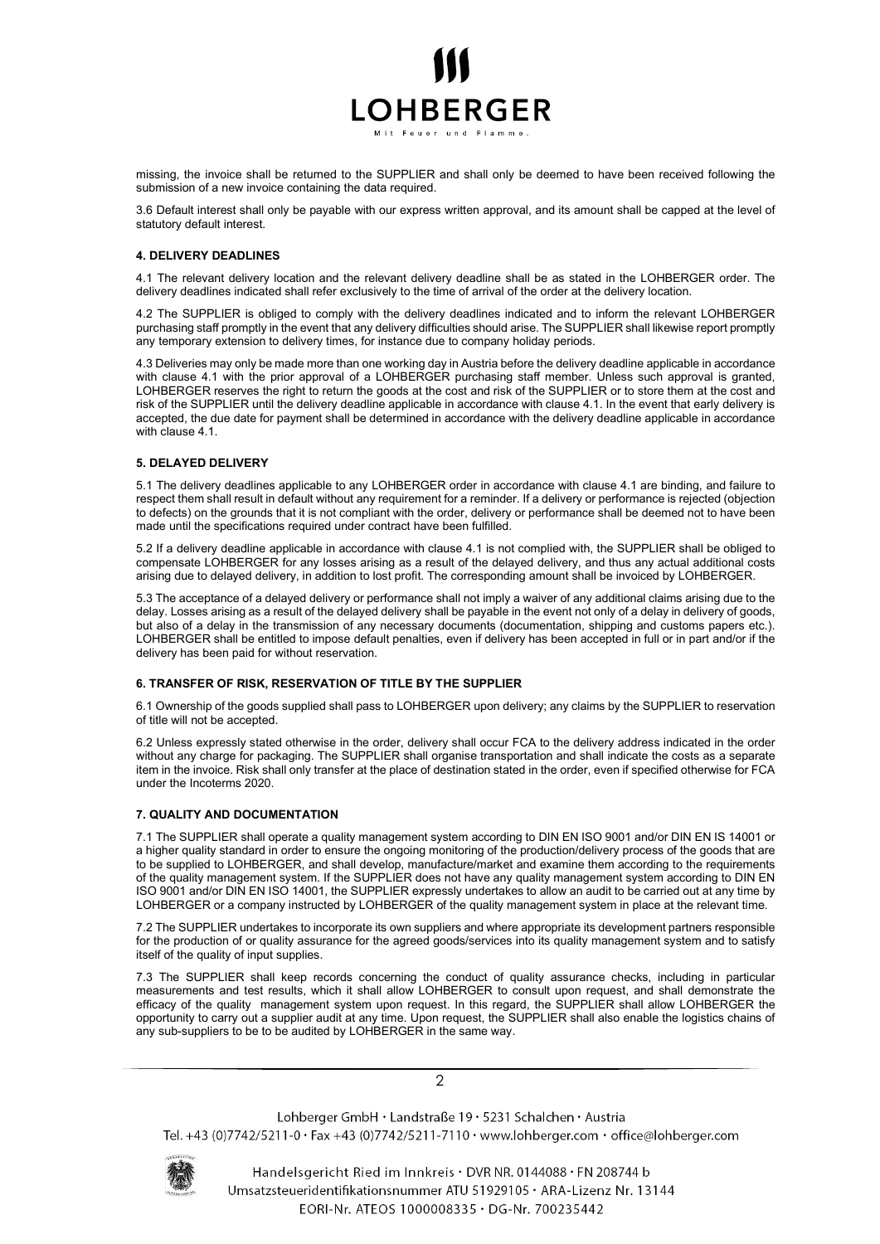

missing, the invoice shall be returned to the SUPPLIER and shall only be deemed to have been received following the submission of a new invoice containing the data required.

3.6 Default interest shall only be payable with our express written approval, and its amount shall be capped at the level of statutory default interest.

# 4. DELIVERY DEADLINES

4.1 The relevant delivery location and the relevant delivery deadline shall be as stated in the LOHBERGER order. The delivery deadlines indicated shall refer exclusively to the time of arrival of the order at the delivery location.

4.2 The SUPPLIER is obliged to comply with the delivery deadlines indicated and to inform the relevant LOHBERGER purchasing staff promptly in the event that any delivery difficulties should arise. The SUPPLIER shall likewise report promptly any temporary extension to delivery times, for instance due to company holiday periods.

4.3 Deliveries may only be made more than one working day in Austria before the delivery deadline applicable in accordance with clause 4.1 with the prior approval of a LOHBERGER purchasing staff member. Unless such approval is granted, LOHBERGER reserves the right to return the goods at the cost and risk of the SUPPLIER or to store them at the cost and risk of the SUPPLIER until the delivery deadline applicable in accordance with clause 4.1. In the event that early delivery is accepted, the due date for payment shall be determined in accordance with the delivery deadline applicable in accordance with clause 4.1.

# 5. DELAYED DELIVERY

5.1 The delivery deadlines applicable to any LOHBERGER order in accordance with clause 4.1 are binding, and failure to respect them shall result in default without any requirement for a reminder. If a delivery or performance is rejected (objection to defects) on the grounds that it is not compliant with the order, delivery or performance shall be deemed not to have been made until the specifications required under contract have been fulfilled.

5.2 If a delivery deadline applicable in accordance with clause 4.1 is not complied with, the SUPPLIER shall be obliged to compensate LOHBERGER for any losses arising as a result of the delayed delivery, and thus any actual additional costs arising due to delayed delivery, in addition to lost profit. The corresponding amount shall be invoiced by LOHBERGER.

5.3 The acceptance of a delayed delivery or performance shall not imply a waiver of any additional claims arising due to the delay. Losses arising as a result of the delayed delivery shall be payable in the event not only of a delay in delivery of goods, but also of a delay in the transmission of any necessary documents (documentation, shipping and customs papers etc.). LOHBERGER shall be entitled to impose default penalties, even if delivery has been accepted in full or in part and/or if the delivery has been paid for without reservation.

#### 6. TRANSFER OF RISK, RESERVATION OF TITLE BY THE SUPPLIER

6.1 Ownership of the goods supplied shall pass to LOHBERGER upon delivery; any claims by the SUPPLIER to reservation of title will not be accepted.

6.2 Unless expressly stated otherwise in the order, delivery shall occur FCA to the delivery address indicated in the order without any charge for packaging. The SUPPLIER shall organise transportation and shall indicate the costs as a separate item in the invoice. Risk shall only transfer at the place of destination stated in the order, even if specified otherwise for FCA under the Incoterms 2020.

# 7. QUALITY AND DOCUMENTATION

7.1 The SUPPLIER shall operate a quality management system according to DIN EN ISO 9001 and/or DIN EN IS 14001 or a higher quality standard in order to ensure the ongoing monitoring of the production/delivery process of the goods that are to be supplied to LOHBERGER, and shall develop, manufacture/market and examine them according to the requirements of the quality management system. If the SUPPLIER does not have any quality management system according to DIN EN ISO 9001 and/or DIN EN ISO 14001, the SUPPLIER expressly undertakes to allow an audit to be carried out at any time by LOHBERGER or a company instructed by LOHBERGER of the quality management system in place at the relevant time.

7.2 The SUPPLIER undertakes to incorporate its own suppliers and where appropriate its development partners responsible for the production of or quality assurance for the agreed goods/services into its quality management system and to satisfy itself of the quality of input supplies.

7.3 The SUPPLIER shall keep records concerning the conduct of quality assurance checks, including in particular measurements and test results, which it shall allow LOHBERGER to consult upon request, and shall demonstrate the efficacy of the quality management system upon request. In this regard, the SUPPLIER shall allow LOHBERGER the opportunity to carry out a supplier audit at any time. Upon request, the SUPPLIER shall also enable the logistics chains of any sub-suppliers to be to be audited by LOHBERGER in the same way.

 $\mathcal{P}$ 

Lohberger GmbH · Landstraße 19 · 5231 Schalchen · Austria Tel. +43 (0)7742/5211-0 · Fax +43 (0)7742/5211-7110 · www.lohberger.com · office@lohberger.com



Handelsgericht Ried im Innkreis · DVR NR. 0144088 · FN 208744 b Umsatzsteueridentifikationsnummer ATU 51929105 · ARA-Lizenz Nr. 13144 EORI-Nr. ATEOS 1000008335 · DG-Nr. 700235442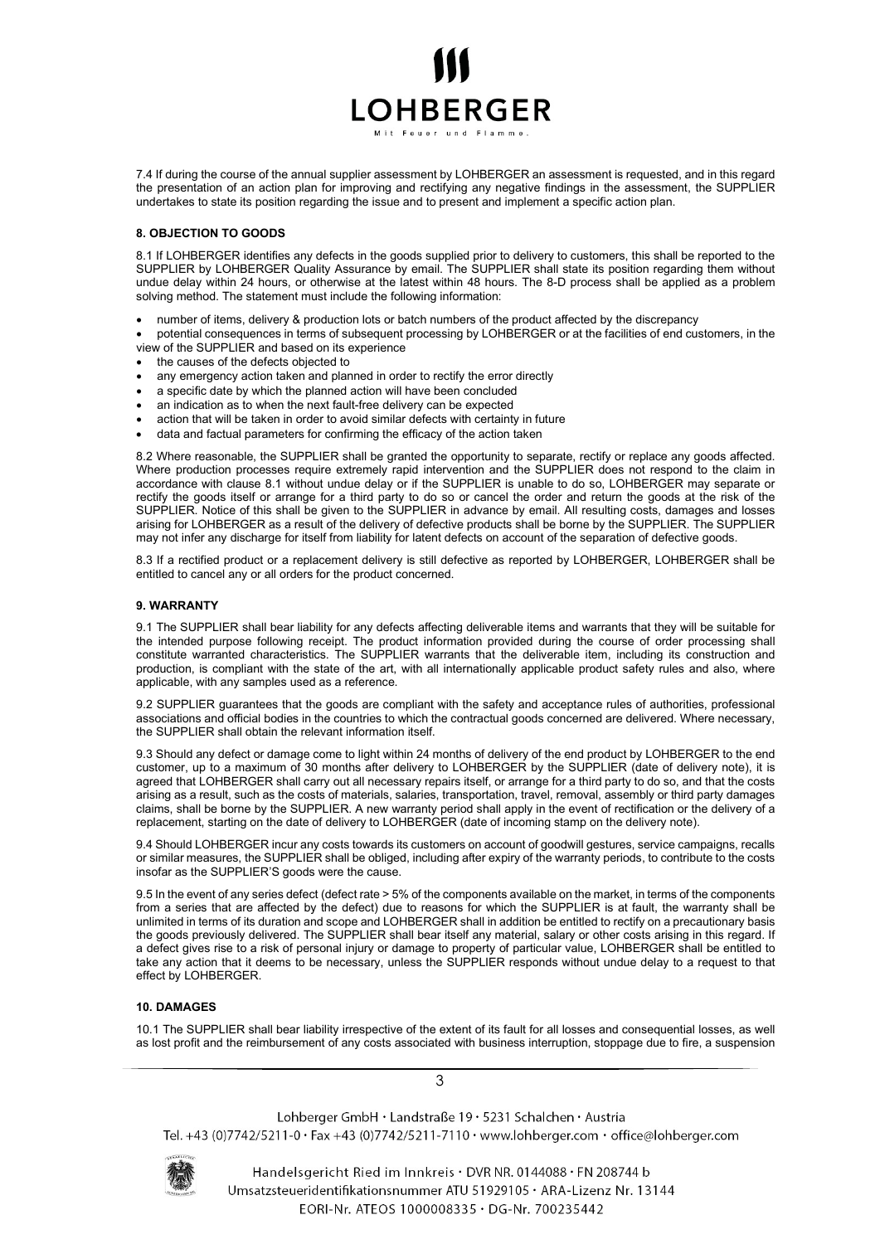

7.4 If during the course of the annual supplier assessment by LOHBERGER an assessment is requested, and in this regard the presentation of an action plan for improving and rectifying any negative findings in the assessment, the SUPPLIER undertakes to state its position regarding the issue and to present and implement a specific action plan.

# 8. OBJECTION TO GOODS

8.1 If LOHBERGER identifies any defects in the goods supplied prior to delivery to customers, this shall be reported to the SUPPLIER by LOHBERGER Quality Assurance by email. The SUPPLIER shall state its position regarding them without undue delay within 24 hours, or otherwise at the latest within 48 hours. The 8-D process shall be applied as a problem solving method. The statement must include the following information:

- number of items, delivery & production lots or batch numbers of the product affected by the discrepancy
- potential consequences in terms of subsequent processing by LOHBERGER or at the facilities of end customers, in the view of the SUPPLIER and based on its experience
- the causes of the defects objected to
- any emergency action taken and planned in order to rectify the error directly
- a specific date by which the planned action will have been concluded
- an indication as to when the next fault-free delivery can be expected
- action that will be taken in order to avoid similar defects with certainty in future
- data and factual parameters for confirming the efficacy of the action taken

8.2 Where reasonable, the SUPPLIER shall be granted the opportunity to separate, rectify or replace any goods affected. Where production processes require extremely rapid intervention and the SUPPLIER does not respond to the claim in accordance with clause 8.1 without undue delay or if the SUPPLIER is unable to do so, LOHBERGER may separate or rectify the goods itself or arrange for a third party to do so or cancel the order and return the goods at the risk of the SUPPLIER. Notice of this shall be given to the SUPPLIER in advance by email. All resulting costs, damages and losses arising for LOHBERGER as a result of the delivery of defective products shall be borne by the SUPPLIER. The SUPPLIER may not infer any discharge for itself from liability for latent defects on account of the separation of defective goods.

8.3 If a rectified product or a replacement delivery is still defective as reported by LOHBERGER, LOHBERGER shall be entitled to cancel any or all orders for the product concerned.

#### 9. WARRANTY

9.1 The SUPPLIER shall bear liability for any defects affecting deliverable items and warrants that they will be suitable for the intended purpose following receipt. The product information provided during the course of order processing shall constitute warranted characteristics. The SUPPLIER warrants that the deliverable item, including its construction and production, is compliant with the state of the art, with all internationally applicable product safety rules and also, where applicable, with any samples used as a reference.

9.2 SUPPLIER guarantees that the goods are compliant with the safety and acceptance rules of authorities, professional associations and official bodies in the countries to which the contractual goods concerned are delivered. Where necessary, the SUPPLIER shall obtain the relevant information itself.

9.3 Should any defect or damage come to light within 24 months of delivery of the end product by LOHBERGER to the end customer, up to a maximum of 30 months after delivery to LOHBERGER by the SUPPLIER (date of delivery note), it is agreed that LOHBERGER shall carry out all necessary repairs itself, or arrange for a third party to do so, and that the costs arising as a result, such as the costs of materials, salaries, transportation, travel, removal, assembly or third party damages claims, shall be borne by the SUPPLIER. A new warranty period shall apply in the event of rectification or the delivery of a replacement, starting on the date of delivery to LOHBERGER (date of incoming stamp on the delivery note).

9.4 Should LOHBERGER incur any costs towards its customers on account of goodwill gestures, service campaigns, recalls or similar measures, the SUPPLIER shall be obliged, including after expiry of the warranty periods, to contribute to the costs insofar as the SUPPLIER'S goods were the cause.

9.5 In the event of any series defect (defect rate > 5% of the components available on the market, in terms of the components from a series that are affected by the defect) due to reasons for which the SUPPLIER is at fault, the warranty shall be unlimited in terms of its duration and scope and LOHBERGER shall in addition be entitled to rectify on a precautionary basis the goods previously delivered. The SUPPLIER shall bear itself any material, salary or other costs arising in this regard. If a defect gives rise to a risk of personal injury or damage to property of particular value, LOHBERGER shall be entitled to take any action that it deems to be necessary, unless the SUPPLIER responds without undue delay to a request to that effect by LOHBERGER.

#### 10. DAMAGES

10.1 The SUPPLIER shall bear liability irrespective of the extent of its fault for all losses and consequential losses, as well as lost profit and the reimbursement of any costs associated with business interruption, stoppage due to fire, a suspension

Lohberger GmbH · Landstraße 19 · 5231 Schalchen · Austria Tel. +43 (0)7742/5211-0 · Fax +43 (0)7742/5211-7110 · www.lohberger.com · office@lohberger.com



Handelsgericht Ried im Innkreis · DVR NR. 0144088 · FN 208744 b Umsatzsteueridentifikationsnummer ATU 51929105 · ARA-Lizenz Nr. 13144 EORI-Nr. ATEOS 1000008335 · DG-Nr. 700235442

3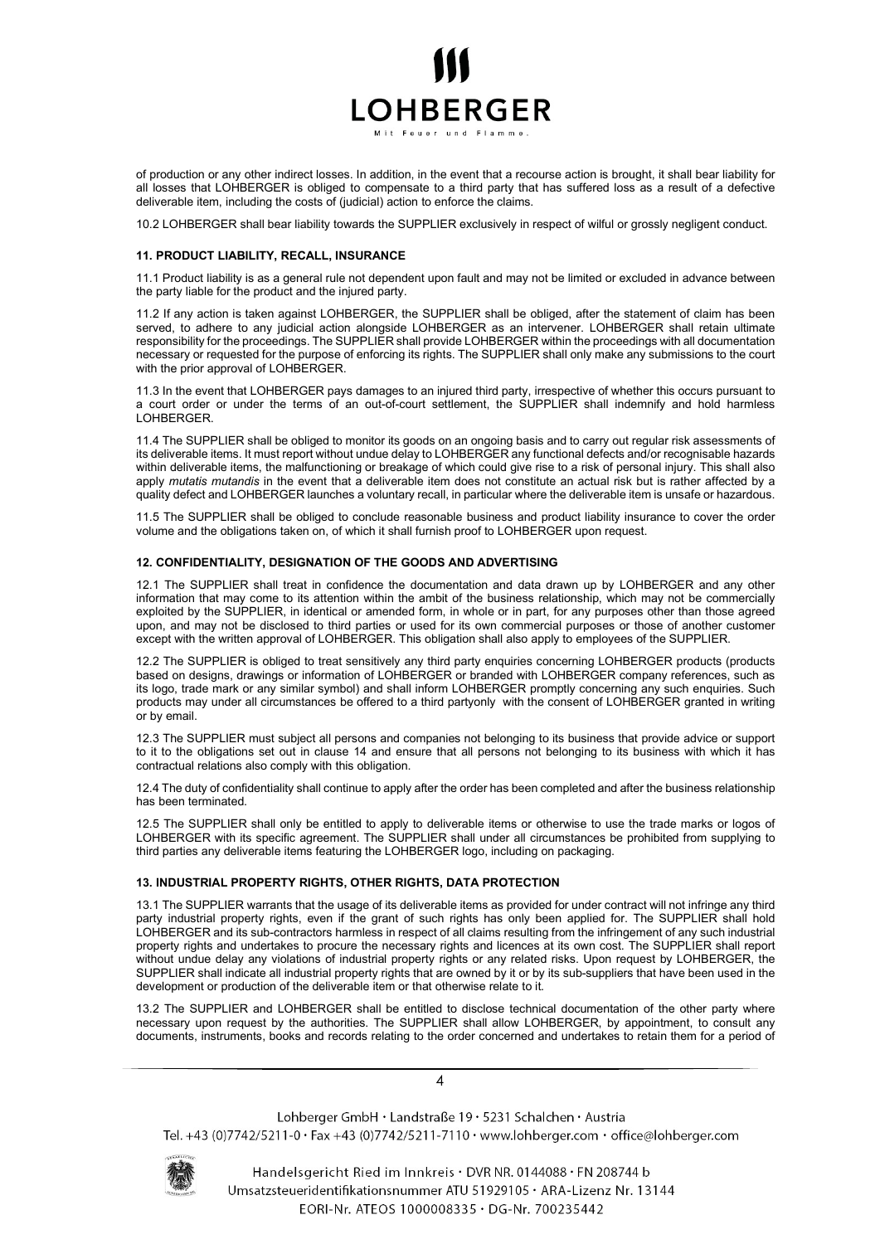

of production or any other indirect losses. In addition, in the event that a recourse action is brought, it shall bear liability for all losses that LOHBERGER is obliged to compensate to a third party that has suffered loss as a result of a defective deliverable item, including the costs of (judicial) action to enforce the claims.

10.2 LOHBERGER shall bear liability towards the SUPPLIER exclusively in respect of wilful or grossly negligent conduct.

# 11. PRODUCT LIABILITY, RECALL, INSURANCE

11.1 Product liability is as a general rule not dependent upon fault and may not be limited or excluded in advance between the party liable for the product and the injured party.

11.2 If any action is taken against LOHBERGER, the SUPPLIER shall be obliged, after the statement of claim has been served, to adhere to any judicial action alongside LOHBERGER as an intervener. LOHBERGER shall retain ultimate responsibility for the proceedings. The SUPPLIER shall provide LOHBERGER within the proceedings with all documentation necessary or requested for the purpose of enforcing its rights. The SUPPLIER shall only make any submissions to the court with the prior approval of LOHBERGER.

11.3 In the event that LOHBERGER pays damages to an injured third party, irrespective of whether this occurs pursuant to a court order or under the terms of an out-of-court settlement, the SUPPLIER shall indemnify and hold harmless LOHBERGER.

11.4 The SUPPLIER shall be obliged to monitor its goods on an ongoing basis and to carry out regular risk assessments of its deliverable items. It must report without undue delay to LOHBERGER any functional defects and/or recognisable hazards within deliverable items, the malfunctioning or breakage of which could give rise to a risk of personal injury. This shall also apply *mutatis mutandis* in the event that a deliverable item does not constitute an actual risk but is rather affected by a quality defect and LOHBERGER launches a voluntary recall, in particular where the deliverable item is unsafe or hazardous.

11.5 The SUPPLIER shall be obliged to conclude reasonable business and product liability insurance to cover the order volume and the obligations taken on, of which it shall furnish proof to LOHBERGER upon request.

# 12. CONFIDENTIALITY, DESIGNATION OF THE GOODS AND ADVERTISING

12.1 The SUPPLIER shall treat in confidence the documentation and data drawn up by LOHBERGER and any other information that may come to its attention within the ambit of the business relationship, which may not be commercially exploited by the SUPPLIER, in identical or amended form, in whole or in part, for any purposes other than those agreed upon, and may not be disclosed to third parties or used for its own commercial purposes or those of another customer except with the written approval of LOHBERGER. This obligation shall also apply to employees of the SUPPLIER.

12.2 The SUPPLIER is obliged to treat sensitively any third party enquiries concerning LOHBERGER products (products based on designs, drawings or information of LOHBERGER or branded with LOHBERGER company references, such as its logo, trade mark or any similar symbol) and shall inform LOHBERGER promptly concerning any such enquiries. Such products may under all circumstances be offered to a third partyonly with the consent of LOHBERGER granted in writing or by email.

12.3 The SUPPLIER must subject all persons and companies not belonging to its business that provide advice or support to it to the obligations set out in clause 14 and ensure that all persons not belonging to its business with which it has contractual relations also comply with this obligation.

12.4 The duty of confidentiality shall continue to apply after the order has been completed and after the business relationship has been terminated.

12.5 The SUPPLIER shall only be entitled to apply to deliverable items or otherwise to use the trade marks or logos of LOHBERGER with its specific agreement. The SUPPLIER shall under all circumstances be prohibited from supplying to third parties any deliverable items featuring the LOHBERGER logo, including on packaging.

#### 13. INDUSTRIAL PROPERTY RIGHTS, OTHER RIGHTS, DATA PROTECTION

13.1 The SUPPLIER warrants that the usage of its deliverable items as provided for under contract will not infringe any third party industrial property rights, even if the grant of such rights has only been applied for. The SUPPLIER shall hold LOHBERGER and its sub-contractors harmless in respect of all claims resulting from the infringement of any such industrial property rights and undertakes to procure the necessary rights and licences at its own cost. The SUPPLIER shall report without undue delay any violations of industrial property rights or any related risks. Upon request by LOHBERGER, the SUPPLIER shall indicate all industrial property rights that are owned by it or by its sub-suppliers that have been used in the development or production of the deliverable item or that otherwise relate to it.

13.2 The SUPPLIER and LOHBERGER shall be entitled to disclose technical documentation of the other party where necessary upon request by the authorities. The SUPPLIER shall allow LOHBERGER, by appointment, to consult any documents, instruments, books and records relating to the order concerned and undertakes to retain them for a period of

4

Lohberger GmbH · Landstraße 19 · 5231 Schalchen · Austria Tel. +43 (0)7742/5211-0 · Fax +43 (0)7742/5211-7110 · www.lohberger.com · office@lohberger.com



Handelsgericht Ried im Innkreis · DVR NR. 0144088 · FN 208744 b Umsatzsteueridentifikationsnummer ATU 51929105 · ARA-Lizenz Nr. 13144 EORI-Nr. ATEOS 1000008335 · DG-Nr. 700235442